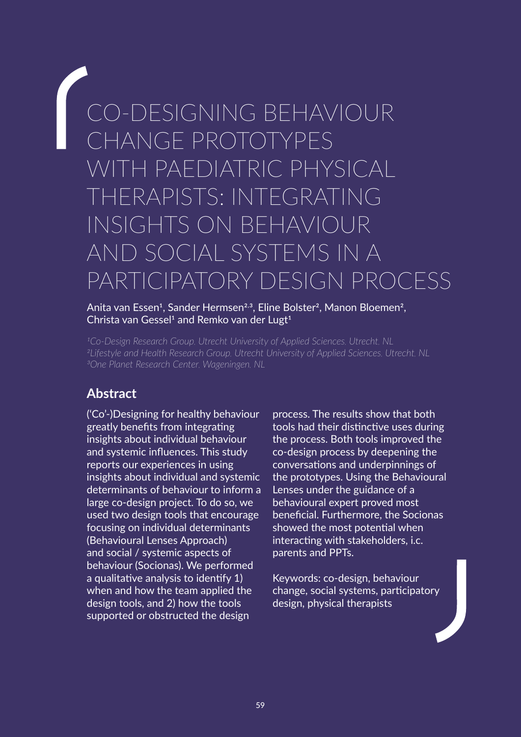# CO-DESIGNING BEHAVIOUR CHANGE PROTOTYPES WITH PAEDIATRIC PHYSICAL THERAPISTS: INTEGRATING INSIGHTS ON BEHAVIOUR AND SOCIAL SYSTEMS IN A PARTICIPATORY DESIGN PROCESS

#### Anita van Essen<sup>1</sup>, Sander Hermsen<sup>2,3</sup>, Eline Bolster<sup>2</sup>, Manon Bloemen<sup>2</sup>, Christa van Gessel<sup>1</sup> and Remko van der Lugt<sup>1</sup>

*1Co-Design Research Group, Utrecht University of Applied Sciences, Utrecht, NL 2Lifestyle and Health Research Group, Utrecht University of Applied Sciences, Utrecht, NL 3One Planet Research Center, Wageningen, NL*

# **Abstract**

('Co'-)Designing for healthy behaviour greatly benefits from integrating insights about individual behaviour and systemic influences. This study reports our experiences in using insights about individual and systemic determinants of behaviour to inform a large co-design project. To do so, we used two design tools that encourage focusing on individual determinants (Behavioural Lenses Approach) and social / systemic aspects of behaviour (Socionas). We performed a qualitative analysis to identify 1) when and how the team applied the design tools, and 2) how the tools supported or obstructed the design

process. The results show that both tools had their distinctive uses during the process. Both tools improved the co-design process by deepening the conversations and underpinnings of the prototypes. Using the Behavioural Lenses under the guidance of a behavioural expert proved most beneficial. Furthermore, the Socionas showed the most potential when interacting with stakeholders, i.c. parents and PPTs.

Keywords: co-design, behaviour change, social systems, participatory design, physical therapists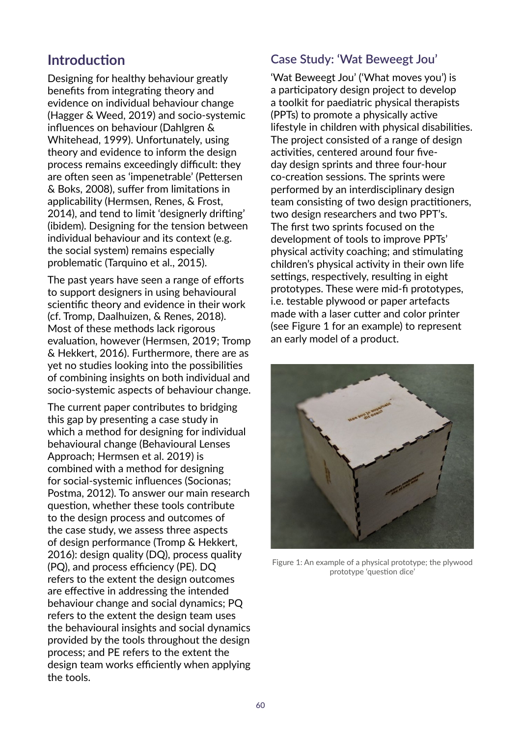# **Introduction**

Designing for healthy behaviour greatly benefits from integrating theory and evidence on individual behaviour change (Hagger & Weed, 2019) and socio-systemic influences on behaviour (Dahlgren & Whitehead, 1999). Unfortunately, using theory and evidence to inform the design process remains exceedingly difficult: they are often seen as 'impenetrable' (Pettersen & Boks, 2008), suffer from limitations in applicability (Hermsen, Renes, & Frost, 2014), and tend to limit 'designerly drifting' (ibidem). Designing for the tension between individual behaviour and its context (e.g. the social system) remains especially problematic (Tarquino et al., 2015).

The past years have seen a range of efforts to support designers in using behavioural scientific theory and evidence in their work (cf. Tromp, Daalhuizen, & Renes, 2018). Most of these methods lack rigorous evaluation, however (Hermsen, 2019; Tromp & Hekkert, 2016). Furthermore, there are as yet no studies looking into the possibilities of combining insights on both individual and socio-systemic aspects of behaviour change.

The current paper contributes to bridging this gap by presenting a case study in which a method for designing for individual behavioural change (Behavioural Lenses Approach; Hermsen et al. 2019) is combined with a method for designing for social-systemic influences (Socionas; Postma, 2012). To answer our main research question, whether these tools contribute to the design process and outcomes of the case study, we assess three aspects of design performance (Tromp & Hekkert, 2016): design quality (DQ), process quality (PQ), and process efficiency (PE). DQ refers to the extent the design outcomes are effective in addressing the intended behaviour change and social dynamics; PQ refers to the extent the design team uses the behavioural insights and social dynamics provided by the tools throughout the design process; and PE refers to the extent the design team works efficiently when applying the tools.

## **Case Study: 'Wat Beweegt Jou'**

'Wat Beweegt Jou' ('What moves you') is a participatory design project to develop a toolkit for paediatric physical therapists (PPTs) to promote a physically active lifestyle in children with physical disabilities. The project consisted of a range of design activities, centered around four fiveday design sprints and three four-hour co-creation sessions. The sprints were performed by an interdisciplinary design team consisting of two design practitioners, two design researchers and two PPT's. The first two sprints focused on the development of tools to improve PPTs' physical activity coaching; and stimulating children's physical activity in their own life settings, respectively, resulting in eight prototypes. These were mid-fi prototypes, i.e. testable plywood or paper artefacts made with a laser cutter and color printer (see Figure 1 for an example) to represent an early model of a product.



Figure 1: An example of a physical prototype; the plywood prototype 'question dice'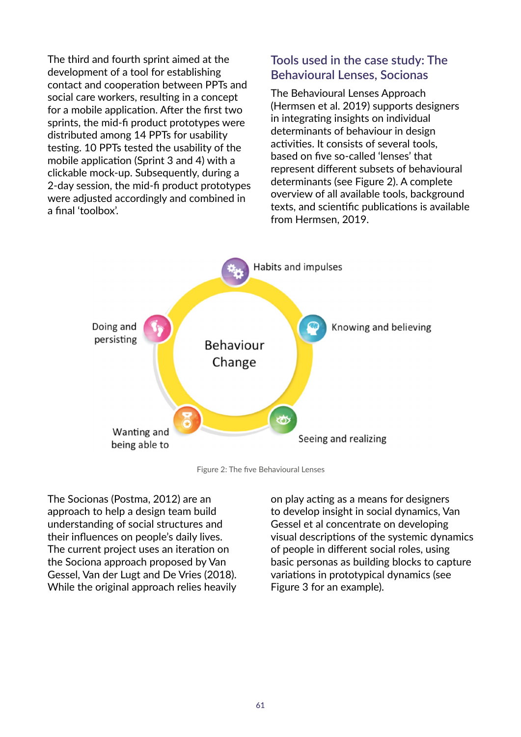The third and fourth sprint aimed at the development of a tool for establishing contact and cooperation between PPTs and social care workers, resulting in a concept for a mobile application. After the first two sprints, the mid-fi product prototypes were distributed among 14 PPTs for usability testing. 10 PPTs tested the usability of the mobile application (Sprint 3 and 4) with a clickable mock-up. Subsequently, during a 2-day session, the mid-fi product prototypes were adjusted accordingly and combined in a final 'toolbox'.

## **Tools used in the case study: The Behavioural Lenses, Socionas**

The Behavioural Lenses Approach (Hermsen et al. 2019) supports designers in integrating insights on individual determinants of behaviour in design activities. It consists of several tools, based on five so-called 'lenses' that represent different subsets of behavioural determinants (see Figure 2). A complete overview of all available tools, background texts, and scientific publications is available from Hermsen, 2019.



Figure 2: The five Behavioural Lenses

The Socionas (Postma, 2012) are an approach to help a design team build understanding of social structures and their influences on people's daily lives. The current project uses an iteration on the Sociona approach proposed by Van Gessel, Van der Lugt and De Vries (2018). While the original approach relies heavily

on play acting as a means for designers to develop insight in social dynamics, Van Gessel et al concentrate on developing visual descriptions of the systemic dynamics of people in different social roles, using basic personas as building blocks to capture variations in prototypical dynamics (see Figure 3 for an example).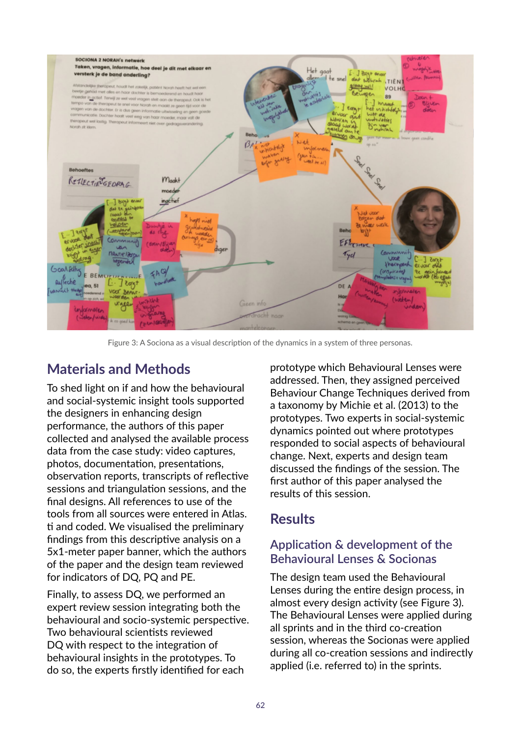

Figure 3: A Sociona as a visual description of the dynamics in a system of three personas.

# **Materials and Methods**

To shed light on if and how the behavioural and social-systemic insight tools supported the designers in enhancing design performance, the authors of this paper collected and analysed the available process data from the case study: video captures, photos, documentation, presentations, observation reports, transcripts of reflective sessions and triangulation sessions, and the final designs. All references to use of the tools from all sources were entered in Atlas. ti and coded. We visualised the preliminary findings from this descriptive analysis on a 5x1-meter paper banner, which the authors of the paper and the design team reviewed for indicators of DQ, PQ and PE.

Finally, to assess DQ, we performed an expert review session integrating both the behavioural and socio-systemic perspective. Two behavioural scientists reviewed DQ with respect to the integration of behavioural insights in the prototypes. To do so, the experts firstly identified for each

prototype which Behavioural Lenses were addressed. Then, they assigned perceived Behaviour Change Techniques derived from a taxonomy by Michie et al. (2013) to the prototypes. Two experts in social-systemic dynamics pointed out where prototypes responded to social aspects of behavioural change. Next, experts and design team discussed the findings of the session. The first author of this paper analysed the results of this session.

# **Results**

## **Application & development of the Behavioural Lenses & Socionas**

The design team used the Behavioural Lenses during the entire design process, in almost every design activity (see Figure 3). The Behavioural Lenses were applied during all sprints and in the third co-creation session, whereas the Socionas were applied during all co-creation sessions and indirectly applied (i.e. referred to) in the sprints.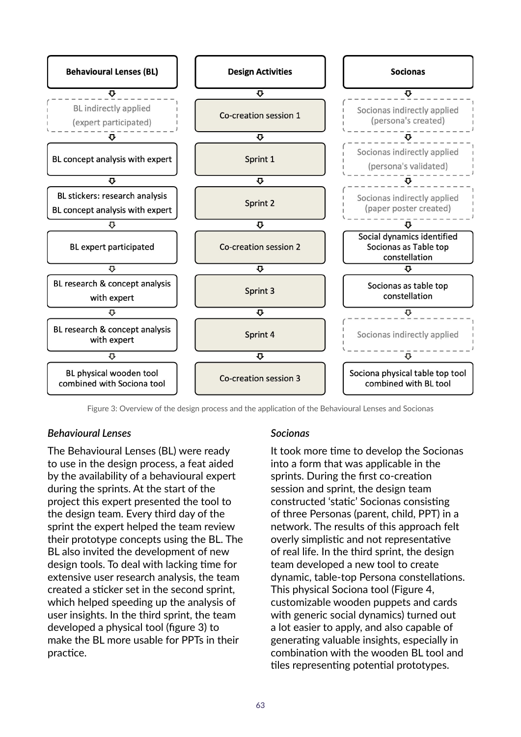

Figure 3: Overview of the design process and the application of the Behavioural Lenses and Socionas

#### *Behavioural Lenses*

The Behavioural Lenses (BL) were ready to use in the design process, a feat aided by the availability of a behavioural expert during the sprints. At the start of the project this expert presented the tool to the design team. Every third day of the sprint the expert helped the team review their prototype concepts using the BL. The BL also invited the development of new design tools. To deal with lacking time for extensive user research analysis, the team created a sticker set in the second sprint, which helped speeding up the analysis of user insights. In the third sprint, the team developed a physical tool (figure 3) to make the BL more usable for PPTs in their practice.

#### *Socionas*

It took more time to develop the Socionas into a form that was applicable in the sprints. During the first co-creation session and sprint, the design team constructed 'static' Socionas consisting of three Personas (parent, child, PPT) in a network. The results of this approach felt overly simplistic and not representative of real life. In the third sprint, the design team developed a new tool to create dynamic, table-top Persona constellations. This physical Sociona tool (Figure 4, customizable wooden puppets and cards with generic social dynamics) turned out a lot easier to apply, and also capable of generating valuable insights, especially in combination with the wooden BL tool and tiles representing potential prototypes.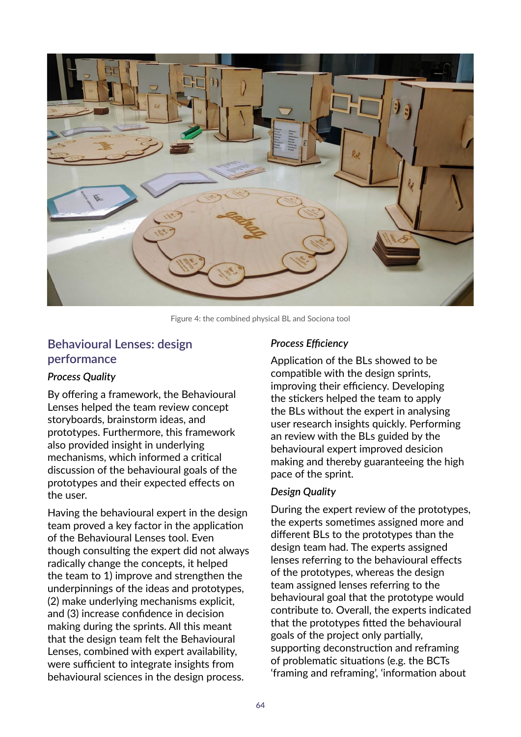

Figure 4: the combined physical BL and Sociona tool

## **Behavioural Lenses: design performance**

#### *Process Quality*

By offering a framework, the Behavioural Lenses helped the team review concept storyboards, brainstorm ideas, and prototypes. Furthermore, this framework also provided insight in underlying mechanisms, which informed a critical discussion of the behavioural goals of the prototypes and their expected effects on the user.

Having the behavioural expert in the design team proved a key factor in the application of the Behavioural Lenses tool. Even though consulting the expert did not always radically change the concepts, it helped the team to 1) improve and strengthen the underpinnings of the ideas and prototypes, (2) make underlying mechanisms explicit, and (3) increase confidence in decision making during the sprints. All this meant that the design team felt the Behavioural Lenses, combined with expert availability, were sufficient to integrate insights from behavioural sciences in the design process.

#### *Process Efficiency*

Application of the BLs showed to be compatible with the design sprints, improving their efficiency. Developing the stickers helped the team to apply the BLs without the expert in analysing user research insights quickly. Performing an review with the BLs guided by the behavioural expert improved desicion making and thereby guaranteeing the high pace of the sprint.

#### *Design Quality*

During the expert review of the prototypes, the experts sometimes assigned more and different BLs to the prototypes than the design team had. The experts assigned lenses referring to the behavioural effects of the prototypes, whereas the design team assigned lenses referring to the behavioural goal that the prototype would contribute to. Overall, the experts indicated that the prototypes fitted the behavioural goals of the project only partially, supporting deconstruction and reframing of problematic situations (e.g. the BCTs 'framing and reframing', 'information about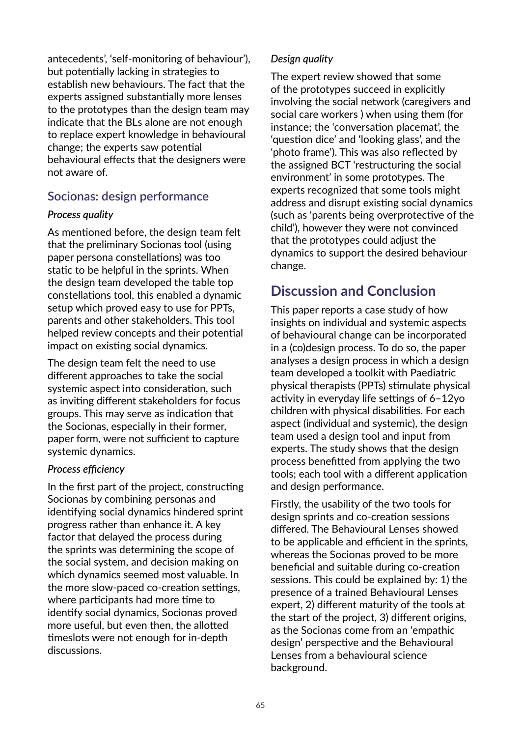antecedents', 'self-monitoring of behaviour'), but potentially lacking in strategies to establish new behaviours. The fact that the experts assigned substantially more lenses to the prototypes than the design team may indicate that the BLs alone are not enough to replace expert knowledge in behavioural change; the experts saw potential behavioural effects that the designers were not aware of.

## **Socionas: design performance**

#### *Process quality*

As mentioned before, the design team felt that the preliminary Socionas tool (using paper persona constellations) was too static to be helpful in the sprints. When the design team developed the table top constellations tool, this enabled a dynamic setup which proved easy to use for PPTs, parents and other stakeholders. This tool helped review concepts and their potential impact on existing social dynamics.

The design team felt the need to use different approaches to take the social systemic aspect into consideration, such as inviting different stakeholders for focus groups. This may serve as indication that the Socionas, especially in their former, paper form, were not sufficient to capture systemic dynamics.

### *Process efficiency*

In the first part of the project, constructing Socionas by combining personas and identifying social dynamics hindered sprint progress rather than enhance it. A key factor that delayed the process during the sprints was determining the scope of the social system, and decision making on which dynamics seemed most valuable. In the more slow-paced co-creation settings, where participants had more time to identify social dynamics, Socionas proved more useful, but even then, the allotted timeslots were not enough for in-depth discussions.

#### *Design quality*

The expert review showed that some of the prototypes succeed in explicitly involving the social network (caregivers and social care workers ) when using them (for instance; the 'conversation placemat', the 'question dice' and 'looking glass', and the 'photo frame'). This was also reflected by the assigned BCT 'restructuring the social environment' in some prototypes. The experts recognized that some tools might address and disrupt existing social dynamics (such as 'parents being overprotective of the child'), however they were not convinced that the prototypes could adjust the dynamics to support the desired behaviour change.

# **Discussion and Conclusion**

This paper reports a case study of how insights on individual and systemic aspects of behavioural change can be incorporated in a (co)design process. To do so, the paper analyses a design process in which a design team developed a toolkit with Paediatric physical therapists (PPTs) stimulate physical activity in everyday life settings of 6–12yo children with physical disabilities. For each aspect (individual and systemic), the design team used a design tool and input from experts. The study shows that the design process benefitted from applying the two tools; each tool with a different application and design performance.

Firstly, the usability of the two tools for design sprints and co-creation sessions differed. The Behavioural Lenses showed to be applicable and efficient in the sprints, whereas the Socionas proved to be more beneficial and suitable during co-creation sessions. This could be explained by: 1) the presence of a trained Behavioural Lenses expert, 2) different maturity of the tools at the start of the project, 3) different origins, as the Socionas come from an 'empathic design' perspective and the Behavioural Lenses from a behavioural science background.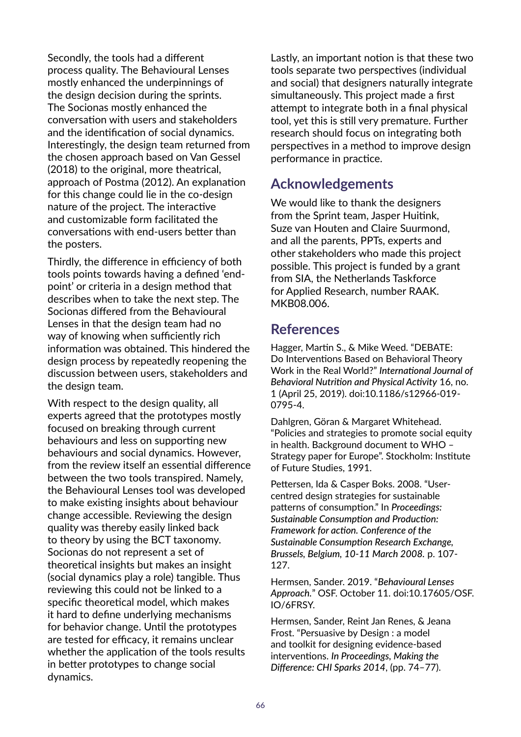Secondly, the tools had a different process quality. The Behavioural Lenses mostly enhanced the underpinnings of the design decision during the sprints. The Socionas mostly enhanced the conversation with users and stakeholders and the identification of social dynamics. Interestingly, the design team returned from the chosen approach based on Van Gessel (2018) to the original, more theatrical, approach of Postma (2012). An explanation for this change could lie in the co-design nature of the project. The interactive and customizable form facilitated the conversations with end-users better than the posters.

Thirdly, the difference in efficiency of both tools points towards having a defined 'endpoint' or criteria in a design method that describes when to take the next step. The Socionas differed from the Behavioural Lenses in that the design team had no way of knowing when sufficiently rich information was obtained. This hindered the design process by repeatedly reopening the discussion between users, stakeholders and the design team.

With respect to the design quality, all experts agreed that the prototypes mostly focused on breaking through current behaviours and less on supporting new behaviours and social dynamics. However, from the review itself an essential difference between the two tools transpired. Namely, the Behavioural Lenses tool was developed to make existing insights about behaviour change accessible. Reviewing the design quality was thereby easily linked back to theory by using the BCT taxonomy. Socionas do not represent a set of theoretical insights but makes an insight (social dynamics play a role) tangible. Thus reviewing this could not be linked to a specific theoretical model, which makes it hard to define underlying mechanisms for behavior change. Until the prototypes are tested for efficacy, it remains unclear whether the application of the tools results in better prototypes to change social dynamics.

Lastly, an important notion is that these two tools separate two perspectives (individual and social) that designers naturally integrate simultaneously. This project made a first attempt to integrate both in a final physical tool, yet this is still very premature. Further research should focus on integrating both perspectives in a method to improve design performance in practice.

## **Acknowledgements**

We would like to thank the designers from the Sprint team, Jasper Huitink, Suze van Houten and Claire Suurmond, and all the parents, PPTs, experts and other stakeholders who made this project possible. This project is funded by a grant from SIA, the Netherlands Taskforce for Applied Research, number RAAK. MKB08.006.

# **References**

Hagger, Martin S., & Mike Weed. "DEBATE: Do Interventions Based on Behavioral Theory Work in the Real World?" *International Journal of Behavioral Nutrition and Physical Activity* 16, no. 1 (April 25, 2019). doi:10.1186/s12966-019- 0795-4.

Dahlgren, Göran & Margaret Whitehead. "Policies and strategies to promote social equity in health. Background document to WHO – Strategy paper for Europe". Stockholm: Institute of Future Studies, 1991.

Pettersen, Ida & Casper Boks. 2008. "Usercentred design strategies for sustainable patterns of consumption." In *Proceedings: Sustainable Consumption and Production: Framework for action. Conference of the Sustainable Consumption Research Exchange, Brussels, Belgium, 10-11 March 2008.* p. 107- 127.

Hermsen, Sander. 2019. "*Behavioural Lenses Approach.*" OSF. October 11. doi:10.17605/OSF. IO/6FRSY.

Hermsen, Sander, Reint Jan Renes, & Jeana Frost. "Persuasive by Design : a model and toolkit for designing evidence-based interventions. *In Proceedings, Making the Difference: CHI Sparks 2014*, (pp. 74–77).